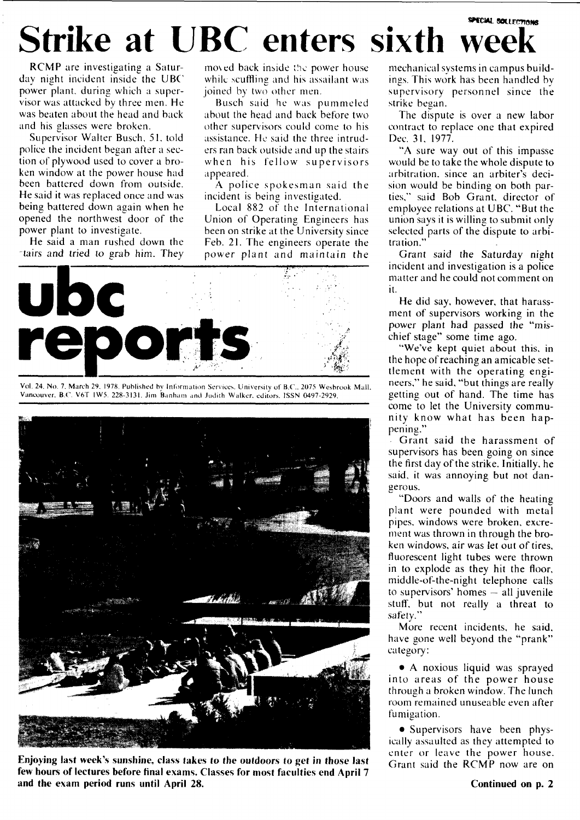## **SPECIAL BOLLECTIONS** Strike at UBC enters sixth wee

RCMP are investigating a Saturday night incident inside the UBC power plant, during which a supervisor was attacked by three men. He was beaten about the head and back and his glasses were broken.

Supervisor Walter Busch. 51. told police the incident began after a section of plywood used to cover a broken window at the power house had been battered down from outside. He said it was replaced once and was being battered down again when he opened the northwest door of the power plant to investigate.

He said a man rushed down the tairs and tried to grab him. They mo\ed back inside the power house while scuffling and his assailant was joined by two other men.

Busch said he was pummeled about the head and back before two other supervisors could come to his assistance. He said the three intruders ran back outside and up the stairs when his fellow supervisors appeared.

A police spokesman said the incident is being investigated.

Local 882 of the International Union of Operating Engineers has been on strike at the University since Feb. 21. The engineers operate the power plant and maintain the



Vol. 24. No. 7. March 29. 1978. Published by Information Services. University of B.C.. 2075 Wesbrook Mall Vancouver. B.C. V6T 1W5. 228-3131. Jim Banham anil Judith Walker, editors. ISSN 0497-2929.



**Enjoying last week's sunshine, class takes to the outdoors to get in those last few hours of lectures before final** exams. Classes **for** most faculties **end April** 7 **and the** exam **period runs until April 28.** 

mechanical systems in campus buildings. This work has been handled by supervisory personnel since the strike began.

The dispute is over a new labor contract to replace one that expired Dec. 31, 1977.

"A sure way out of this impasse would be to take the whole dispute to arbitration, since an arbiter's decision would be binding on both parties," said Bob Grant, director of employee relations at UBC. "But the union says it is willing to submit only selected parts of the dispute to arbitration."

Grant said the Saturday night incident and investigation is a police matter and he could not comment on it.

He did say, however, that harassment of supervisors working in the power plant had passed the "mischief stage" some time ago.

"We've kept quiet about this, in the hope of reaching an amicable settlement with the operating engineers," he said, "but things are really getting out of hand. The time has come to let the University community know what has been happening."

Grant said the harassment of supervisors has been going on since the first day of the strike. Initially, he said, it was annoying but not dangerous.

"Doors and walls of the heating plant were pounded with metal pipes, windows were broken, excrement was thrown in through the broken windows, air was let out of tires, fluorescent light tubes were thrown in to explode as they hit the floor, middle-of-the-night telephone calls to supervisors' homes — all juvenile stuff, but not really a threat to safety."

More recent incidents, he said, have gone well beyond the "prank" category:

• A noxious liquid was sprayed into areas of the power house through a broken window. The lunch room remained unuseable even after fumigation.

• Supervisors have been physically assaulted as they attempted to enter or leave the power house. Grant said the RCMP now are on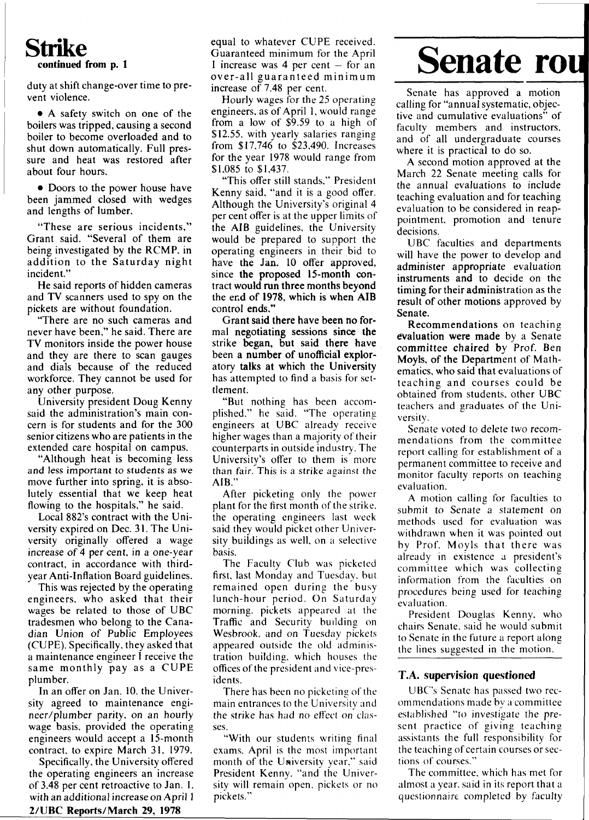### **Strike continued from p. 1**

duty at shift change-over time to prevent violence.

• A safety switch on one of the boilers was tripped, causing a second boiler to become overloaded and to shut down automatically. Full pressure and heat was restored after about four hours.

• Doors to the power house have been jammed closed with wedges and lengths of lumber.

"These are serious incidents," Grant said. "Several of them are being investigated by the RCMP, in addition to the Saturday night incident."

He said reports of hidden cameras and TV scanners used to spy on the pickets are without foundation.

"There are no such cameras and never have been," he said. There are TV monitors inside the power house and they are there to scan gauges and dials because of the reduced workforce. They cannot be used for any other purpose.

University president Doug Kenny said the administration's main concern is for students and for the 300 senior citizens who are patients in the extended care hospital on campus.

"Although heat is becoming less and less important to students as we move further into spring, it is absolutely essential that we keep heat flowing to the hospitals," he said.

Local 882's contract with the University expired on Dec. 31. The University originally offered a wage increase of 4 per cent, in a one-year contract, in accordance with thirdyear Anti-Inflation Board guidelines.

This was rejected by the operating engineers, who asked that their wages be related to those of UBC tradesmen who belong to the Canadian Union of Public Employees (CUPE). Specifically, they asked that a maintenance engineer I receive the same monthly pay as a CUPE plumber.

In an offer on Jan. 10, the University agreed to maintenance engineer/plumber parity, on an hourly wage basis, provided the operating engineers would accept a 15-month contract, to expire March 31, 1979.

Specifically, the University offered the operating engineers an increase of 3.48 per cent retroactive to Jan. 1. with an additional increase on April **1 2/UBC Reports/March 29, 1978** 

Hourly wages for the 25 operating engineers, as of April 1, would range from a low of \$9.59 to a high of \$12.55. with yearly salaries ranging from \$17,746 to \$23,490. Increases for the year 1978 would range from \$1,085 to \$1,437.

"This offer still stands," President Kenny said, "and it is a good offer. Although the University's original 4 per cent offer is at the upper limits of the AIB guidelines, the University would be prepared to support the operating engineers in their bid to have the Jan. 10 offer approved, since **the** proposed 15-month contract **would run three months beyond**  the end of **1978,** which is **when AIB**  control ends."

Grant said **there** have **been no** formal **negotiating** sessions **since the**  strike began, **but** said **there** have been a **number** of unofficial exploratory **talks at which** the **University**  has attempted to find a basis for settlement.

"But nothing has been accomplished." he said. "The operating engineers at UBC already receive higher wages than a majority of their counterparts in outside industry. The University's offer to them is more than fair. This is a strike against the AIB."

After picketing only the power plant for the first month of the strike, the operating engineers last week said they would picket other University buildings as well, on a selective basis.

The Faculty Club was picketed first, last Monday and Tuesday, but remained open during the busy lunch-hour period. On Saturday morning, pickets appeared at the Traffic and Security building on Wesbrook. and on Tuesday pickets appeared outside the old administration building, which houses the offices of the president and vice-presidents.

There has been no picketing of the main entrances to the University and the strike has had no effect on classes.

"With our students writing final exams. April is the most important month of the University year," said President Kenny, "and the University will remain open, pickets or no pickets."

# **Senate rout**

Senate has approved a motion calling for "annual systematic, objective and cumulative evaluations" of faculty members and instructors, and of all undergraduate courses where it is practical to do so.

A second motion approved at the March 22 Senate meeting calls for the annual evaluations to include teaching evaluation and for teaching evaluation to be considered in reappointment, promotion and tenure decisions.

UBC faculties and departments will have the power to develop and administer appropriate evaluation instruments and to decide on the timing for their administration as the result of other motions approved by Senate.

Recommendations on teaching **evaluation were made** by a Senate committee chaired by Prof. Ben Moyls, of **the** Department of Mathematics, who said **that** evaluations of teaching and courses could be obtained from students, other UBC teachers and graduates of the University.

Senate voted to delete two recommendations from the committee report calling for establishment of a permanent committee to receive and monitor faculty reports on teaching evaluation.

A motion calling for faculties to submit to Senate a statement on methods used for evaluation was withdrawn when it was pointed out by Prof. Moyls that there was already in existence a president's committee which was collecting information from the faculties on procedures being used for teaching evaluation.

President Douglas Kenny, who chairs Senate, said he would submit to Senate in the future a report along the lines suggested in the motion.

#### **T.A. supervision questioned**

UBC's Senate has passed two recommendations made by a committee established "to investigate the present practice of giving teaching assistants the full responsibility for the teaching of certain courses or sections of courses."

The committee, which has met for almost a year, said in its report that a questionnaire completed by faculty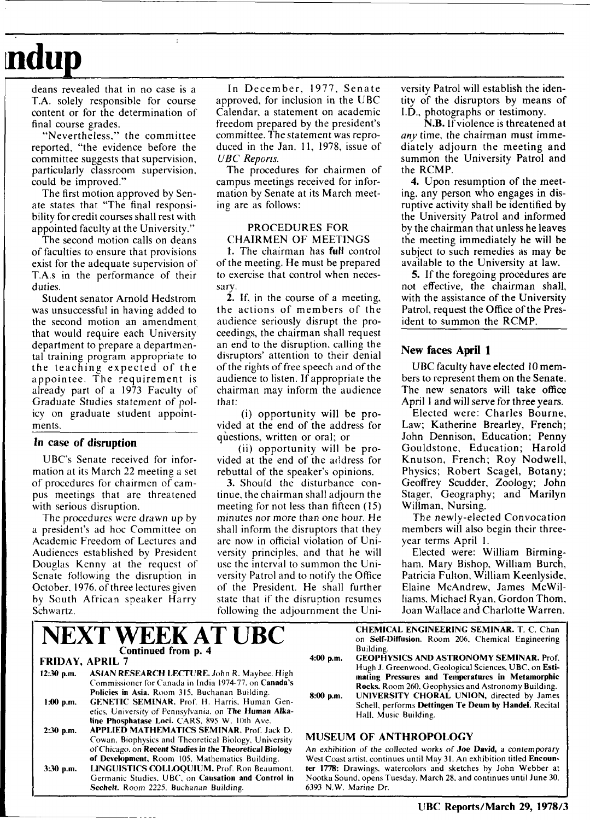# **ndup**

deans revealed that in no case is a T.A. solely responsible for course content or for the determination of final course grades.

"Nevertheless," the committee reported, "the evidence before the committee suggests that supervision, particularly classroom supervision, could be improved."

The first motion approved by Senate states that "The final responsibility for credit courses shall rest with appointed faculty at the University."

The second motion calls on deans of faculties to ensure that provisions exist for the adequate supervision of T.A.s in the performance of their duties.

Student senator Arnold Hedstrom was unsuccessful in having added to the second motion an amendment that would require each University department to prepare a departmental training program appropriate to the teaching expected of the appointee. The requirement is already part of a 1973 Faculty of Graduate Studies statement of policy on graduate student appointments.

#### In case of disruption

UBC's Senate received for information at its March 22 meeting a set of procedures for chairmen of campus meetings that are threatened with serious disruption.

The procedures were drawn up by a president's ad hoc Committee on Academic Freedom of Lectures and Audiences established by President Douglas Kenny at the request of Senate following the disruption in October. 1976. of three lectures given by South African speaker Harry Schwartz.

In December, 1977, Senate approved, for inclusion in the UBC Calendar, a statement on academic freedom prepared by the president's committee. The statement was reproduced in the Jan. 11, 1978, issue of *UBC Reports.* 

The procedures for chairmen of campus meetings received for information by Senate at its March meeting are as follows:

#### PROCEDURES FOR CHAIRMEN OF MEETINGS

1. The chairman has **full** control of the meeting. He must be prepared to exercise that control when necessary.

2. If, in the course of a meeting, the actions of members of the audience seriously disrupt the proceedings, the chairman shall request an end to the disruption, calling the disruptors' attention to their denial of the rights of free speech and of the audience to listen. If appropriate the chairman may inform the audience that:

(i) opportunity will be provided at the end of the address for questions, written or oral; or

(ii) opportunity will be provided at the end of the address for rebuttal of the speaker's opinions.

3. Should the disturbance continue, the chairman shall adjourn the meeting for not less than fifteen (15) minutes nor more than one hour. He shall inform the disruptors that they are now in official violation of University principles, and that he will use the interval to summon the University Patrol and to notify the Office of the President. He shall further state that if the disruption resumes following the adjournment the University Patrol will establish the identity of the disruptors by means of I.D., photographs or testimony.

N.B. If violence is threatened at *any* time, the chairman must immediately adjourn the meeting and summon the University Patrol and the RCMP.

4. Upon resumption of the meeting, any person who engages in disruptive activity shall be identified by the University Patrol and informed by the chairman that unless he leaves the meeting immediately he will be subject to such remedies as may be available to the University at law.

5. If the foregoing procedures are not effective, the chairman shall, with the assistance of the University Patrol, request the Office of the President to summon the RCMP.

#### **New faces April 1**

UBC faculty have elected 10 members to represent them on the Senate. The new senators will take office April 1 and will serve for three years.

Elected were: Charles Bourne, Law; Katherine Brearley, French; John Dennison, Education; Penny Gouldstone, Education; Harold Knutson, French; Roy Nodwell, Physics; Robert Scagel, Botany; Geoffrey Scudder, Zoology; John Stager, Geography; and Marilyn Willman, Nursing.

The newly-elected Convocation members will also begin their threeyear terms April 1.

Elected were: William Birmingham, Mary Bishop, William Burch, Patricia Fulton, William Keenlyside, Elaine McAndrew, James McWilliams, Michael Ryan, Gordon Thom, Joan Wallace and Charlotte Warren.

|              | <b>NEXT WEEK AT UBC</b>                                                                                                                                               |                   |
|--------------|-----------------------------------------------------------------------------------------------------------------------------------------------------------------------|-------------------|
|              | Continued from p. 4                                                                                                                                                   | 4:00 <sub>5</sub> |
|              | <b>FRIDAY, APRIL 7</b>                                                                                                                                                |                   |
| $12:30$ p.m. | <b>ASIAN RESEARCH LECTURE. John R. Maybee, High</b><br>Commissioner for Canada in India 1974-77, on Canada's<br><b>Policies in Asia.</b> Room 315, Buchanan Building. |                   |
| $1:00$ p.m.  | <b>GENETIC SEMINAR, Prof. H. Harris, Human Gen-</b><br>etics, University of Pennsylvania, on The Human Alka-                                                          | 8:00 <sub>1</sub> |
|              | line Phosphatase Loci. CARS, 895 W. 10th Ave.                                                                                                                         |                   |
| $2:30$ p.m.  | <b>APPLIED MATHEMATICS SEMINAR. Prof. Jack D.</b><br>Cowan, Biophysics and Theoretical Biology, University                                                            | <b>MUS</b>        |
|              | of Chicago, on Recent Studies in the Theoretical Biology                                                                                                              | An exl            |
|              | of Development, Room 105, Mathematics Building.                                                                                                                       | West C            |
| $3:30$ p.m.  | <b>LINGUISTICS COLLOQUIUM.</b> Prof. Ron Beaumont,                                                                                                                    | ter 17.           |
|              | Germanic Studies, UBC, on Causation and Control in                                                                                                                    | <b>Nootka</b>     |
|              | Sechelt. Room 2225. Buchanan Building.                                                                                                                                | 6393 N            |

**CHEMICAL ENGINEERING SEMINAR. T. C.** Chan on **Self-Diffusion.** Room 206, Chemical Engineering Building.

**4:00 p.m. GEOPHYSICS AND ASTRONOMY SEMINAR.** Prof. Hugh J. Greenwood, Geological Sciences, UBC, on **Estimating Pressures and Temperatures in Metamorphic Rocks.** Room 260, Geophysics and Astronomy Building.

**8:00 p.m. UNIVERSITY CHORAL UNION,** directed by James Schell, performs **Dettingen Te Deum by Handel.** Recital Hall. Music Building.

#### **EUM OF ANTHROPOLOGY**

hibition of the collected works of **Joe David**, a contemporary loast artist, continues until May 31. An exhibition titled Encoun-78: Drawings, watercolors and sketches by John Webber at a Sound, opens Tuesday. March 28, and continues until June 30. 6393 N.W. Marine Dr.